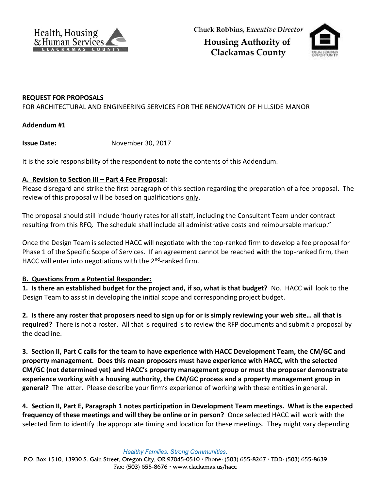



## **REQUEST FOR PROPOSALS**

FOR ARCHITECTURAL AND ENGINEERING SERVICES FOR THE RENOVATION OF HILLSIDE MANOR

## **Addendum #1**

**Issue Date:** November 30, 2017

It is the sole responsibility of the respondent to note the contents of this Addendum.

## **A. Revision to Section III – Part 4 Fee Proposal:**

Please disregard and strike the first paragraph of this section regarding the preparation of a fee proposal. The review of this proposal will be based on qualifications only.

The proposal should still include 'hourly rates for all staff, including the Consultant Team under contract resulting from this RFQ. The schedule shall include all administrative costs and reimbursable markup."

Once the Design Team is selected HACC will negotiate with the top-ranked firm to develop a fee proposal for Phase 1 of the Specific Scope of Services. If an agreement cannot be reached with the top-ranked firm, then HACC will enter into negotiations with the 2<sup>nd</sup>-ranked firm.

## **B. Questions from a Potential Responder:**

**1. Is there an established budget for the project and, if so, what is that budget?** No. HACC will look to the Design Team to assist in developing the initial scope and corresponding project budget.

**2. Is there any roster that proposers need to sign up for or is simply reviewing your web site… all that is required?** There is not a roster. All that is required is to review the RFP documents and submit a proposal by the deadline.

**3. Section II, Part C calls for the team to have experience with HACC Development Team, the CM/GC and property management. Does this mean proposers must have experience with HACC, with the selected CM/GC (not determined yet) and HACC's property management group or must the proposer demonstrate experience working with a housing authority, the CM/GC process and a property management group in general?** The latter. Please describe your firm's experience of working with these entities in general.

**4. Section II, Part E, Paragraph 1 notes participation in Development Team meetings. What is the expected frequency of these meetings and will they be online or in person?** Once selected HACC will work with the selected firm to identify the appropriate timing and location for these meetings. They might vary depending

Healthy Families. Strong Communities.